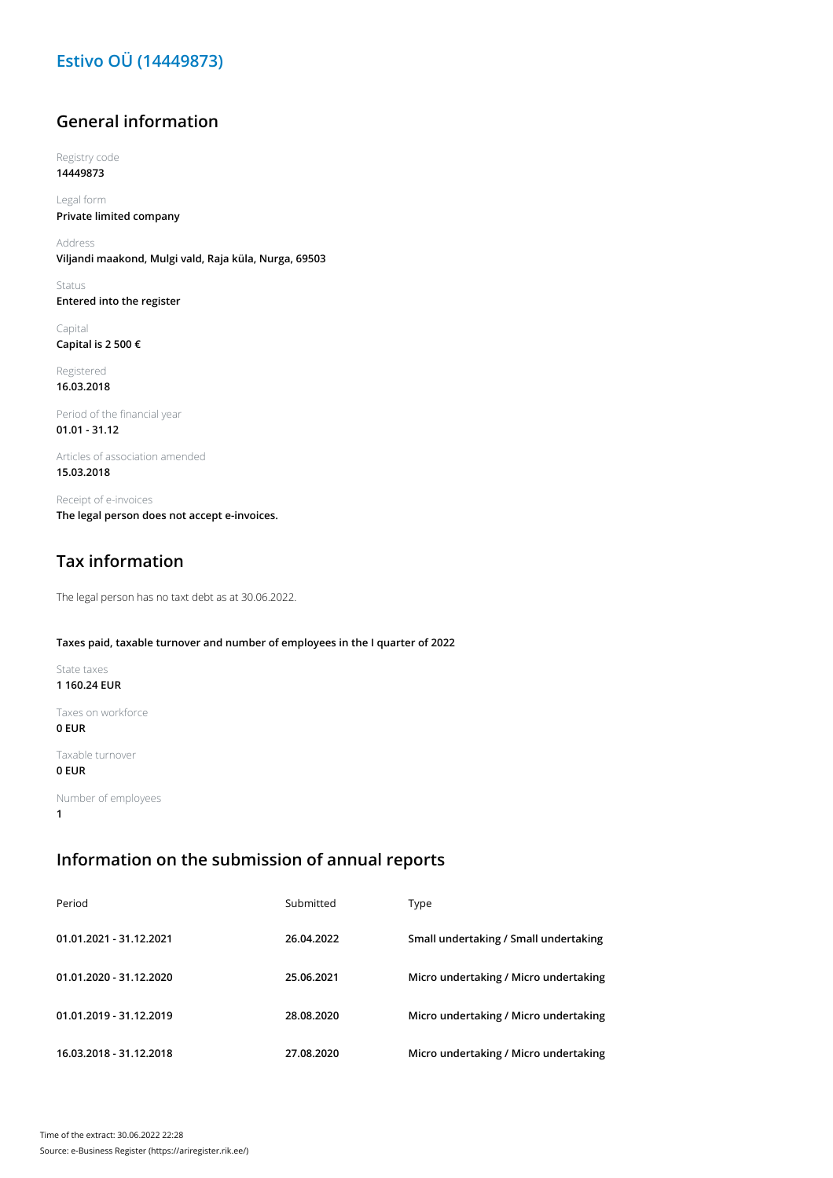## **Estivo OÜ (14449873)**

## **General information**

Registry code **14449873**

Legal form **Private limited company**

Address **Viljandi maakond, Mulgi vald, Raja küla, Nurga, 69503**

Status **Entered into the register**

Capital **Capital is 2 500 €**

Registered **16.03.2018**

Period of the financial year **01.01 - 31.12**

Articles of association amended **15.03.2018**

Receipt of e-invoices **The legal person does not accept e-invoices.**

## **Tax information**

The legal person has no taxt debt as at 30.06.2022.

#### **Taxes paid, taxable turnover and number of employees in the I quarter of 2022**

State taxes **1 160.24 EUR**

Taxes on workforce **0 EUR**

Taxable turnover

### **0 EUR**

Number of employees **1**

## **Information on the submission of annual reports**

| Period                  | Submitted  | Type                                  |
|-------------------------|------------|---------------------------------------|
| 01.01.2021 - 31.12.2021 | 26.04.2022 | Small undertaking / Small undertaking |
| 01.01.2020 - 31.12.2020 | 25.06.2021 | Micro undertaking / Micro undertaking |
| 01.01.2019 - 31.12.2019 | 28.08.2020 | Micro undertaking / Micro undertaking |
| 16.03.2018 - 31.12.2018 | 27.08.2020 | Micro undertaking / Micro undertaking |